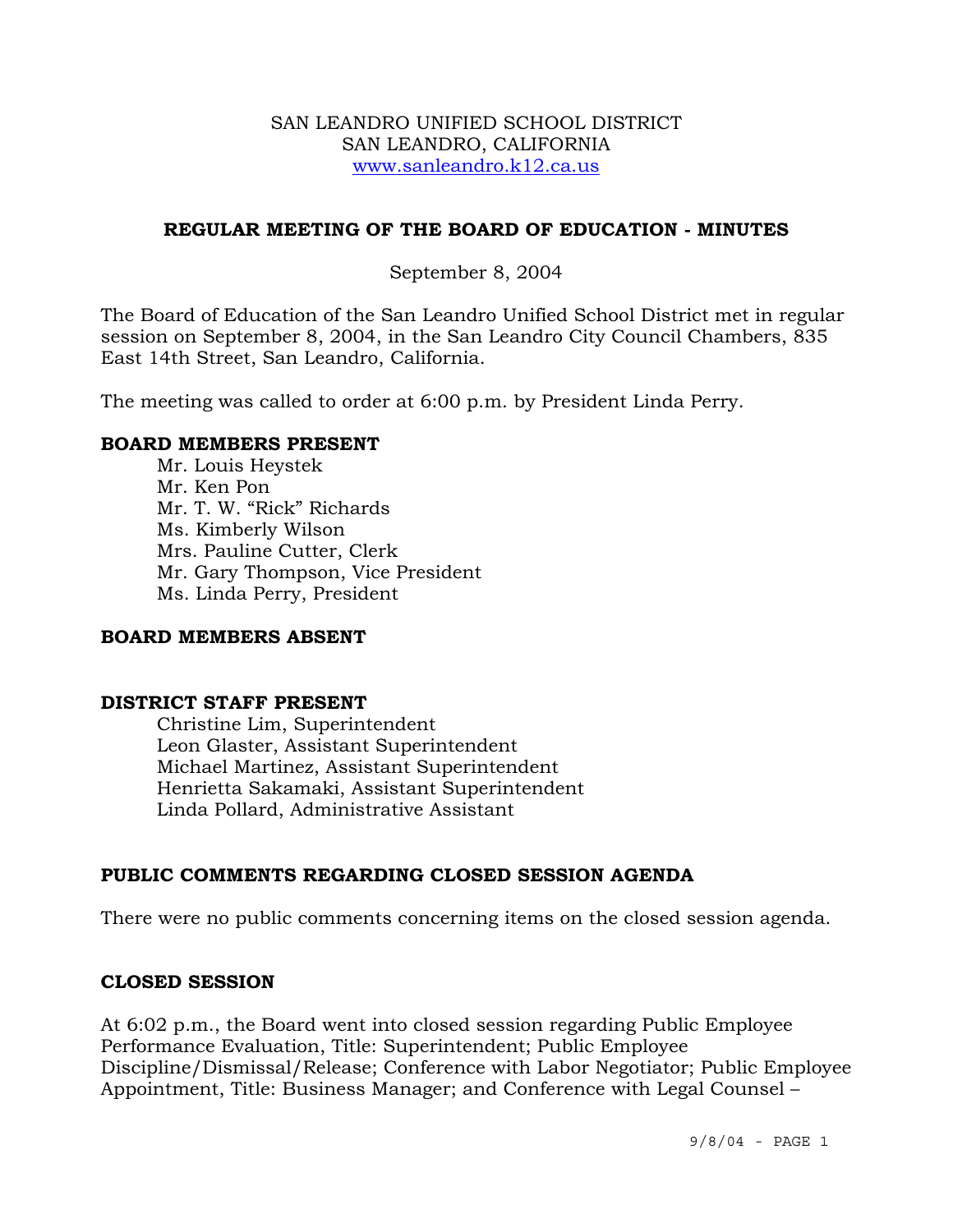### SAN LEANDRO UNIFIED SCHOOL DISTRICT SAN LEANDRO, CALIFORNIA www.sanleandro.k12.ca.us

## **REGULAR MEETING OF THE BOARD OF EDUCATION - MINUTES**

## September 8, 2004

The Board of Education of the San Leandro Unified School District met in regular session on September 8, 2004, in the San Leandro City Council Chambers, 835 East 14th Street, San Leandro, California.

The meeting was called to order at 6:00 p.m. by President Linda Perry.

### **BOARD MEMBERS PRESENT**

Mr. Louis Heystek Mr. Ken Pon Mr. T. W. "Rick" Richards Ms. Kimberly Wilson Mrs. Pauline Cutter, Clerk Mr. Gary Thompson, Vice President Ms. Linda Perry, President

## **BOARD MEMBERS ABSENT**

### **DISTRICT STAFF PRESENT**

Christine Lim, Superintendent Leon Glaster, Assistant Superintendent Michael Martinez, Assistant Superintendent Henrietta Sakamaki, Assistant Superintendent Linda Pollard, Administrative Assistant

## **PUBLIC COMMENTS REGARDING CLOSED SESSION AGENDA**

There were no public comments concerning items on the closed session agenda.

### **CLOSED SESSION**

At 6:02 p.m., the Board went into closed session regarding Public Employee Performance Evaluation, Title: Superintendent; Public Employee Discipline/Dismissal/Release; Conference with Labor Negotiator; Public Employee Appointment, Title: Business Manager; and Conference with Legal Counsel –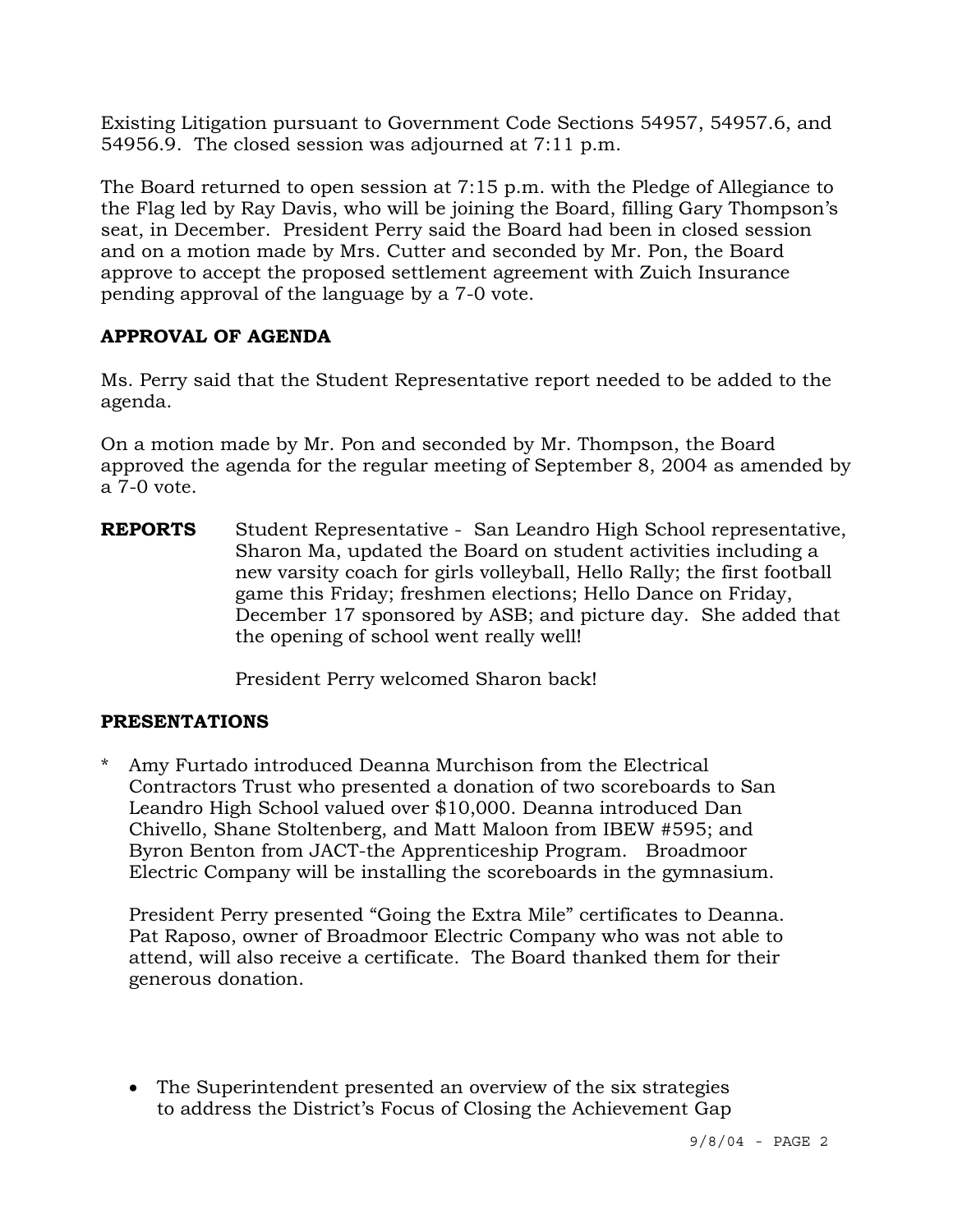Existing Litigation pursuant to Government Code Sections 54957, 54957.6, and 54956.9. The closed session was adjourned at 7:11 p.m.

The Board returned to open session at 7:15 p.m. with the Pledge of Allegiance to the Flag led by Ray Davis, who will be joining the Board, filling Gary Thompson's seat, in December. President Perry said the Board had been in closed session and on a motion made by Mrs. Cutter and seconded by Mr. Pon, the Board approve to accept the proposed settlement agreement with Zuich Insurance pending approval of the language by a 7-0 vote.

# **APPROVAL OF AGENDA**

Ms. Perry said that the Student Representative report needed to be added to the agenda.

On a motion made by Mr. Pon and seconded by Mr. Thompson, the Board approved the agenda for the regular meeting of September 8, 2004 as amended by a 7-0 vote.

**REPORTS** Student Representative - San Leandro High School representative, Sharon Ma, updated the Board on student activities including a new varsity coach for girls volleyball, Hello Rally; the first football game this Friday; freshmen elections; Hello Dance on Friday, December 17 sponsored by ASB; and picture day. She added that the opening of school went really well!

President Perry welcomed Sharon back!

# **PRESENTATIONS**

\* Amy Furtado introduced Deanna Murchison from the Electrical Contractors Trust who presented a donation of two scoreboards to San Leandro High School valued over \$10,000. Deanna introduced Dan Chivello, Shane Stoltenberg, and Matt Maloon from IBEW #595; and Byron Benton from JACT-the Apprenticeship Program. Broadmoor Electric Company will be installing the scoreboards in the gymnasium.

 President Perry presented "Going the Extra Mile" certificates to Deanna. Pat Raposo, owner of Broadmoor Electric Company who was not able to attend, will also receive a certificate. The Board thanked them for their generous donation.

• The Superintendent presented an overview of the six strategies to address the District's Focus of Closing the Achievement Gap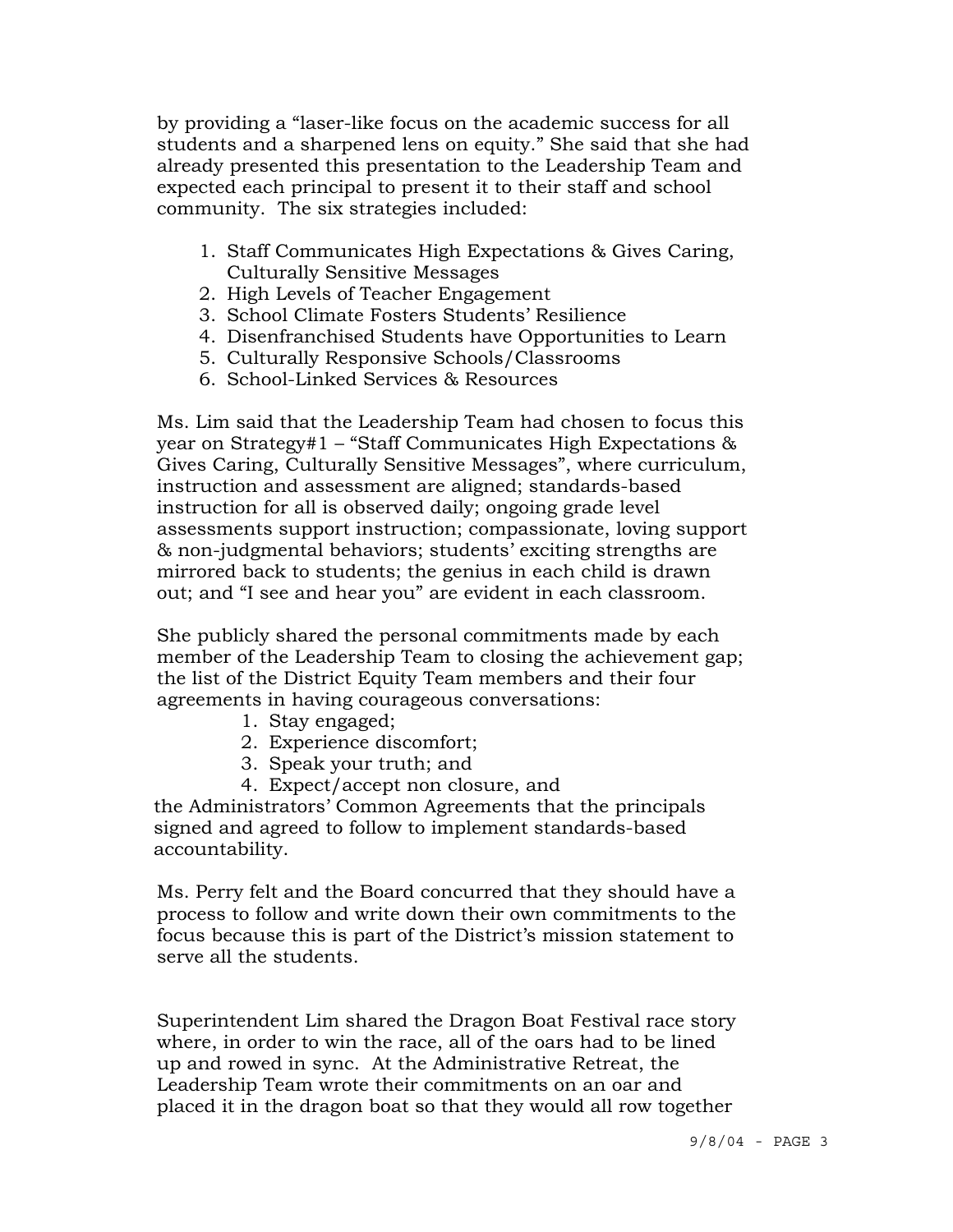by providing a "laser-like focus on the academic success for all students and a sharpened lens on equity." She said that she had already presented this presentation to the Leadership Team and expected each principal to present it to their staff and school community. The six strategies included:

- 1. Staff Communicates High Expectations & Gives Caring, Culturally Sensitive Messages
- 2. High Levels of Teacher Engagement
- 3. School Climate Fosters Students' Resilience
- 4. Disenfranchised Students have Opportunities to Learn
- 5. Culturally Responsive Schools/Classrooms
- 6. School-Linked Services & Resources

 Ms. Lim said that the Leadership Team had chosen to focus this year on Strategy#1 – "Staff Communicates High Expectations & Gives Caring, Culturally Sensitive Messages", where curriculum, instruction and assessment are aligned; standards-based instruction for all is observed daily; ongoing grade level assessments support instruction; compassionate, loving support & non-judgmental behaviors; students' exciting strengths are mirrored back to students; the genius in each child is drawn out; and "I see and hear you" are evident in each classroom.

 She publicly shared the personal commitments made by each member of the Leadership Team to closing the achievement gap; the list of the District Equity Team members and their four agreements in having courageous conversations:

- 1. Stay engaged;
- 2. Experience discomfort;
- 3. Speak your truth; and
- 4. Expect/accept non closure, and

 the Administrators' Common Agreements that the principals signed and agreed to follow to implement standards-based accountability.

 Ms. Perry felt and the Board concurred that they should have a process to follow and write down their own commitments to the focus because this is part of the District's mission statement to serve all the students.

 Superintendent Lim shared the Dragon Boat Festival race story where, in order to win the race, all of the oars had to be lined up and rowed in sync. At the Administrative Retreat, the Leadership Team wrote their commitments on an oar and placed it in the dragon boat so that they would all row together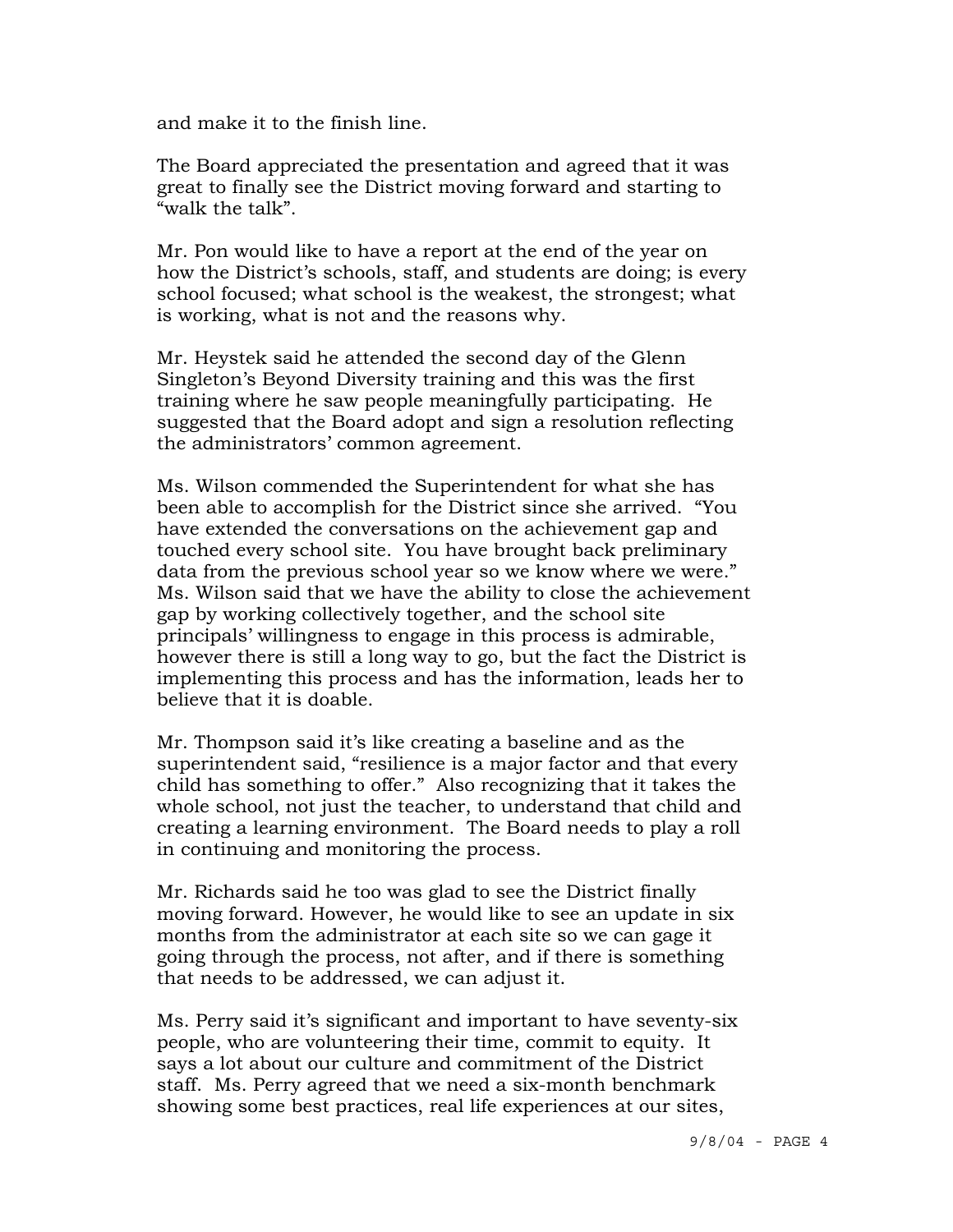and make it to the finish line.

 The Board appreciated the presentation and agreed that it was great to finally see the District moving forward and starting to "walk the talk".

 Mr. Pon would like to have a report at the end of the year on how the District's schools, staff, and students are doing; is every school focused; what school is the weakest, the strongest; what is working, what is not and the reasons why.

 Mr. Heystek said he attended the second day of the Glenn Singleton's Beyond Diversity training and this was the first training where he saw people meaningfully participating. He suggested that the Board adopt and sign a resolution reflecting the administrators' common agreement.

 Ms. Wilson commended the Superintendent for what she has been able to accomplish for the District since she arrived. "You have extended the conversations on the achievement gap and touched every school site. You have brought back preliminary data from the previous school year so we know where we were." Ms. Wilson said that we have the ability to close the achievement gap by working collectively together, and the school site principals' willingness to engage in this process is admirable, however there is still a long way to go, but the fact the District is implementing this process and has the information, leads her to believe that it is doable.

 Mr. Thompson said it's like creating a baseline and as the superintendent said, "resilience is a major factor and that every child has something to offer." Also recognizing that it takes the whole school, not just the teacher, to understand that child and creating a learning environment. The Board needs to play a roll in continuing and monitoring the process.

 Mr. Richards said he too was glad to see the District finally moving forward. However, he would like to see an update in six months from the administrator at each site so we can gage it going through the process, not after, and if there is something that needs to be addressed, we can adjust it.

 Ms. Perry said it's significant and important to have seventy-six people, who are volunteering their time, commit to equity. It says a lot about our culture and commitment of the District staff. Ms. Perry agreed that we need a six-month benchmark showing some best practices, real life experiences at our sites,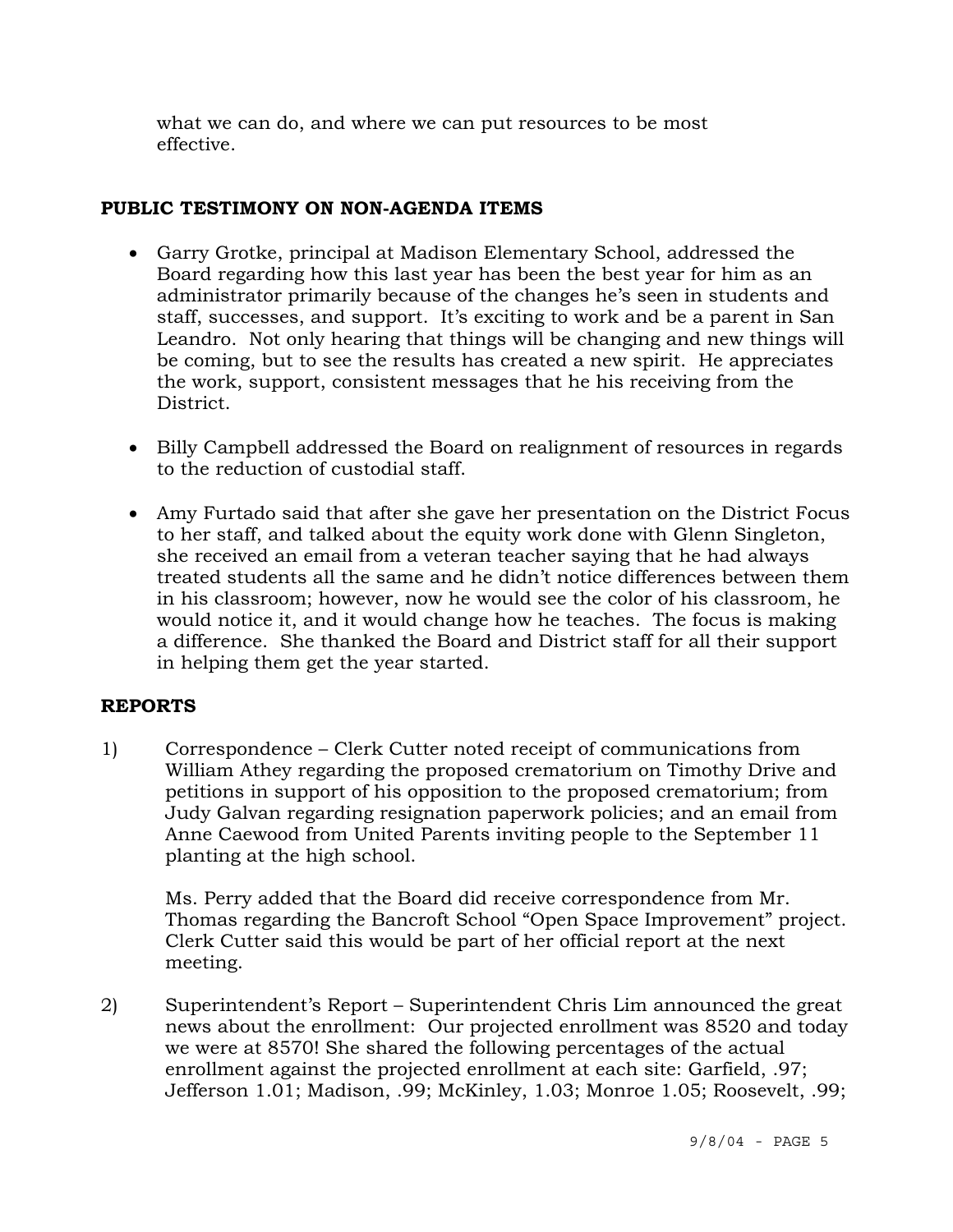what we can do, and where we can put resources to be most effective.

## **PUBLIC TESTIMONY ON NON-AGENDA ITEMS**

- Garry Grotke, principal at Madison Elementary School, addressed the Board regarding how this last year has been the best year for him as an administrator primarily because of the changes he's seen in students and staff, successes, and support. It's exciting to work and be a parent in San Leandro. Not only hearing that things will be changing and new things will be coming, but to see the results has created a new spirit. He appreciates the work, support, consistent messages that he his receiving from the District.
- Billy Campbell addressed the Board on realignment of resources in regards to the reduction of custodial staff.
- Amy Furtado said that after she gave her presentation on the District Focus to her staff, and talked about the equity work done with Glenn Singleton, she received an email from a veteran teacher saying that he had always treated students all the same and he didn't notice differences between them in his classroom; however, now he would see the color of his classroom, he would notice it, and it would change how he teaches. The focus is making a difference. She thanked the Board and District staff for all their support in helping them get the year started.

# **REPORTS**

1) Correspondence – Clerk Cutter noted receipt of communications from William Athey regarding the proposed crematorium on Timothy Drive and petitions in support of his opposition to the proposed crematorium; from Judy Galvan regarding resignation paperwork policies; and an email from Anne Caewood from United Parents inviting people to the September 11 planting at the high school.

Ms. Perry added that the Board did receive correspondence from Mr. Thomas regarding the Bancroft School "Open Space Improvement" project. Clerk Cutter said this would be part of her official report at the next meeting.

2) Superintendent's Report – Superintendent Chris Lim announced the great news about the enrollment: Our projected enrollment was 8520 and today we were at 8570! She shared the following percentages of the actual enrollment against the projected enrollment at each site: Garfield, .97; Jefferson 1.01; Madison, .99; McKinley, 1.03; Monroe 1.05; Roosevelt, .99;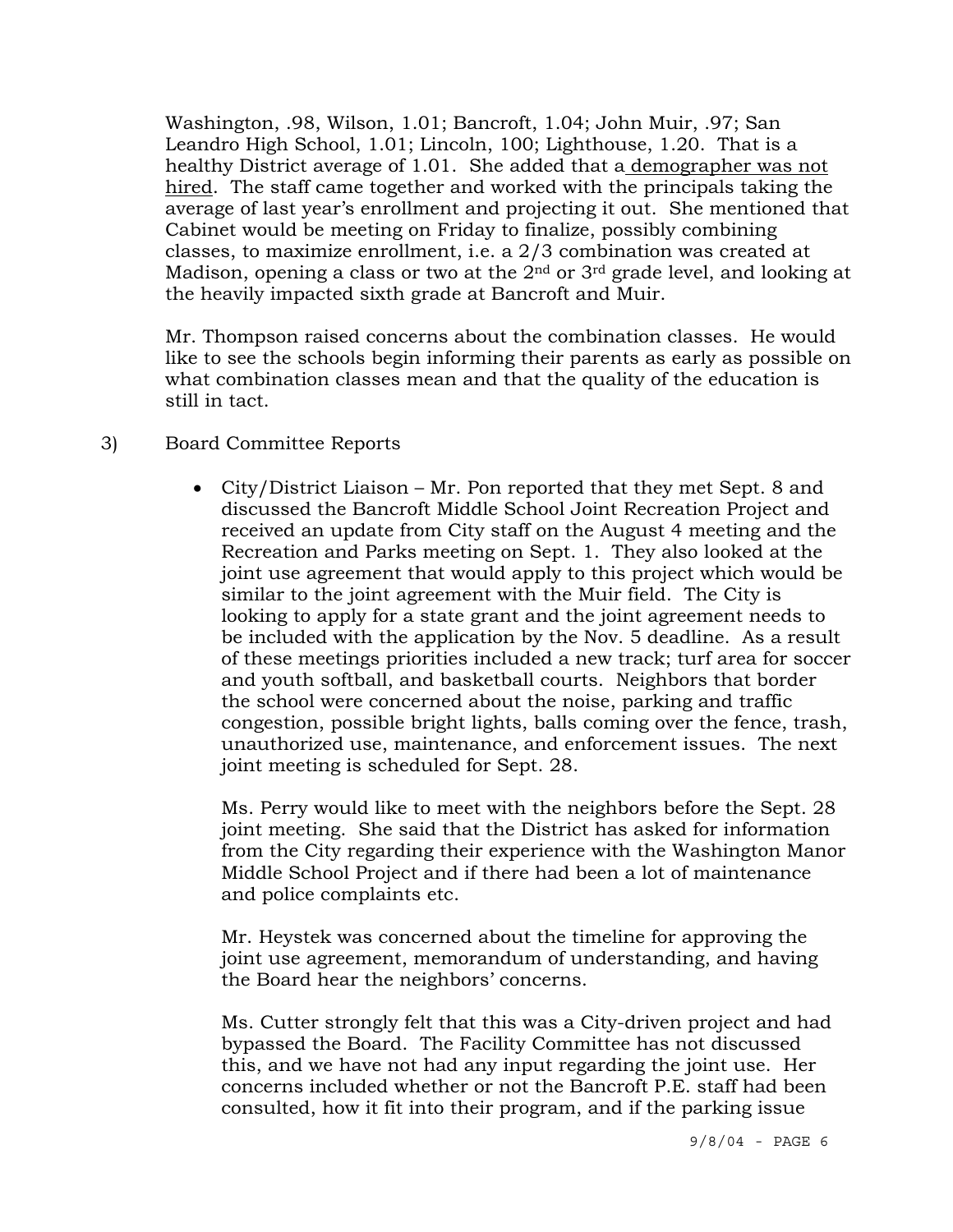Washington, .98, Wilson, 1.01; Bancroft, 1.04; John Muir, .97; San Leandro High School, 1.01; Lincoln, 100; Lighthouse, 1.20. That is a healthy District average of 1.01. She added that a demographer was not hired. The staff came together and worked with the principals taking the average of last year's enrollment and projecting it out. She mentioned that Cabinet would be meeting on Friday to finalize, possibly combining classes, to maximize enrollment, i.e. a 2/3 combination was created at Madison, opening a class or two at the 2<sup>nd</sup> or 3<sup>rd</sup> grade level, and looking at the heavily impacted sixth grade at Bancroft and Muir.

Mr. Thompson raised concerns about the combination classes. He would like to see the schools begin informing their parents as early as possible on what combination classes mean and that the quality of the education is still in tact.

## 3) Board Committee Reports

• City/District Liaison – Mr. Pon reported that they met Sept. 8 and discussed the Bancroft Middle School Joint Recreation Project and received an update from City staff on the August 4 meeting and the Recreation and Parks meeting on Sept. 1. They also looked at the joint use agreement that would apply to this project which would be similar to the joint agreement with the Muir field. The City is looking to apply for a state grant and the joint agreement needs to be included with the application by the Nov. 5 deadline. As a result of these meetings priorities included a new track; turf area for soccer and youth softball, and basketball courts. Neighbors that border the school were concerned about the noise, parking and traffic congestion, possible bright lights, balls coming over the fence, trash, unauthorized use, maintenance, and enforcement issues. The next joint meeting is scheduled for Sept. 28.

Ms. Perry would like to meet with the neighbors before the Sept. 28 joint meeting. She said that the District has asked for information from the City regarding their experience with the Washington Manor Middle School Project and if there had been a lot of maintenance and police complaints etc.

 Mr. Heystek was concerned about the timeline for approving the joint use agreement, memorandum of understanding, and having the Board hear the neighbors' concerns.

 Ms. Cutter strongly felt that this was a City-driven project and had bypassed the Board. The Facility Committee has not discussed this, and we have not had any input regarding the joint use. Her concerns included whether or not the Bancroft P.E. staff had been consulted, how it fit into their program, and if the parking issue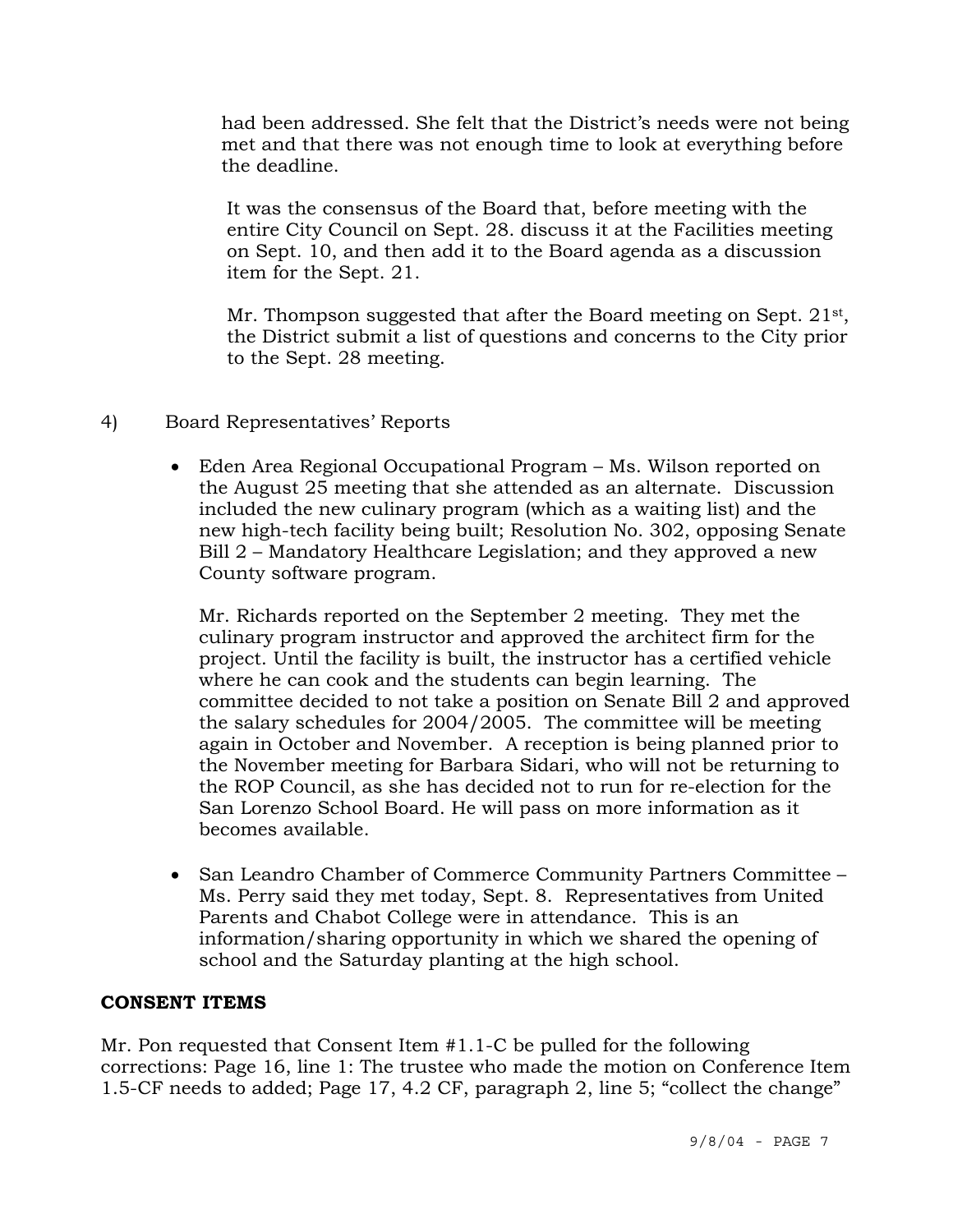had been addressed. She felt that the District's needs were not being met and that there was not enough time to look at everything before the deadline.

 It was the consensus of the Board that, before meeting with the entire City Council on Sept. 28. discuss it at the Facilities meeting on Sept. 10, and then add it to the Board agenda as a discussion item for the Sept. 21.

Mr. Thompson suggested that after the Board meeting on Sept. 21<sup>st</sup>, the District submit a list of questions and concerns to the City prior to the Sept. 28 meeting.

- 4) Board Representatives' Reports
	- Eden Area Regional Occupational Program Ms. Wilson reported on the August 25 meeting that she attended as an alternate. Discussion included the new culinary program (which as a waiting list) and the new high-tech facility being built; Resolution No. 302, opposing Senate Bill 2 – Mandatory Healthcare Legislation; and they approved a new County software program.

 Mr. Richards reported on the September 2 meeting. They met the culinary program instructor and approved the architect firm for the project. Until the facility is built, the instructor has a certified vehicle where he can cook and the students can begin learning. The committee decided to not take a position on Senate Bill 2 and approved the salary schedules for 2004/2005. The committee will be meeting again in October and November. A reception is being planned prior to the November meeting for Barbara Sidari, who will not be returning to the ROP Council, as she has decided not to run for re-election for the San Lorenzo School Board. He will pass on more information as it becomes available.

• San Leandro Chamber of Commerce Community Partners Committee – Ms. Perry said they met today, Sept. 8. Representatives from United Parents and Chabot College were in attendance. This is an information/sharing opportunity in which we shared the opening of school and the Saturday planting at the high school.

## **CONSENT ITEMS**

Mr. Pon requested that Consent Item #1.1-C be pulled for the following corrections: Page 16, line 1: The trustee who made the motion on Conference Item 1.5-CF needs to added; Page 17, 4.2 CF, paragraph 2, line 5; "collect the change"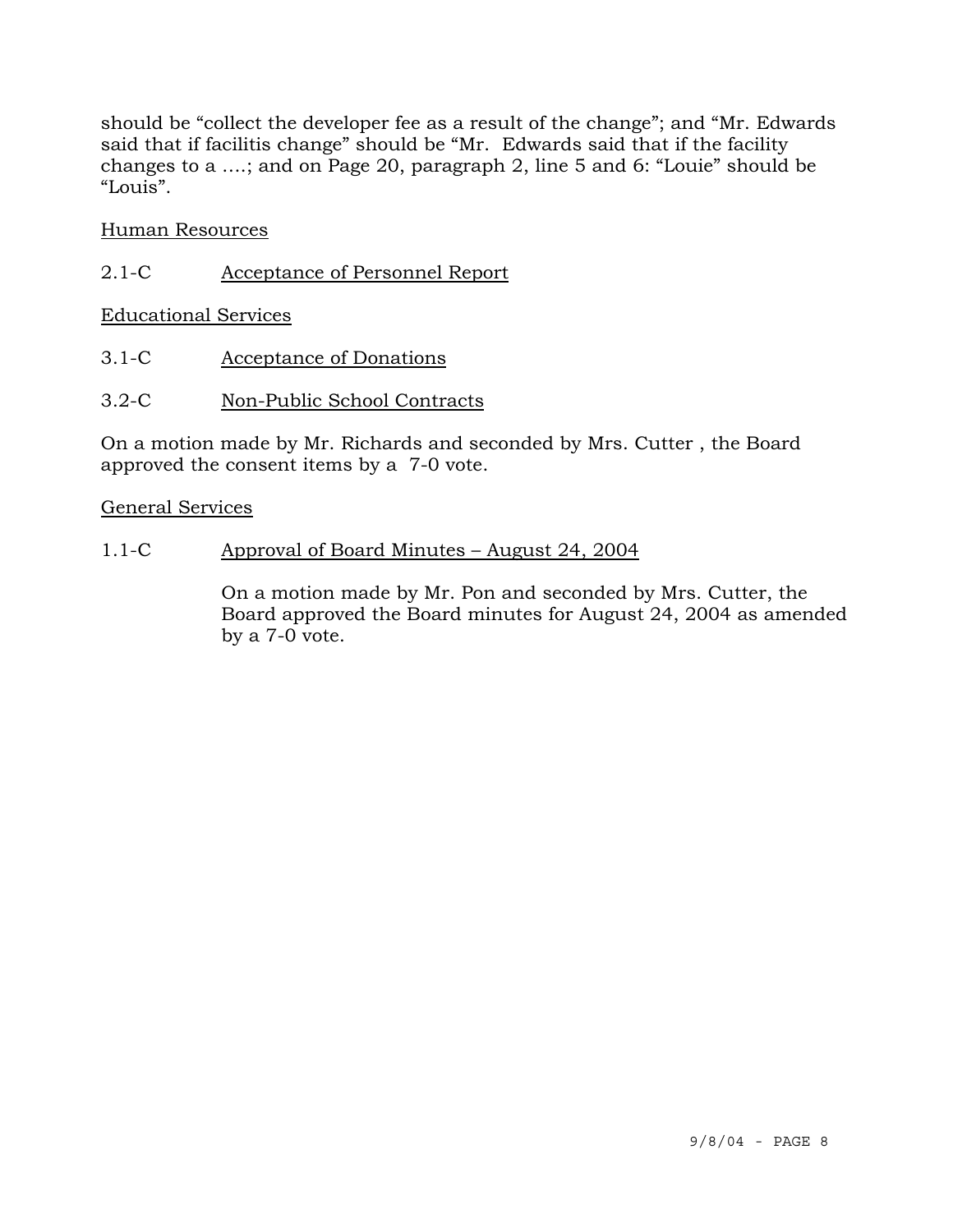should be "collect the developer fee as a result of the change"; and "Mr. Edwards said that if facilitis change" should be "Mr. Edwards said that if the facility changes to a ….; and on Page 20, paragraph 2, line 5 and 6: "Louie" should be "Louis".

## Human Resources

2.1-C Acceptance of Personnel Report

Educational Services

- 3.1-C Acceptance of Donations
- 3.2-C Non-Public School Contracts

On a motion made by Mr. Richards and seconded by Mrs. Cutter , the Board approved the consent items by a 7-0 vote.

### General Services

1.1-C Approval of Board Minutes – August 24, 2004

On a motion made by Mr. Pon and seconded by Mrs. Cutter, the Board approved the Board minutes for August 24, 2004 as amended by a 7-0 vote.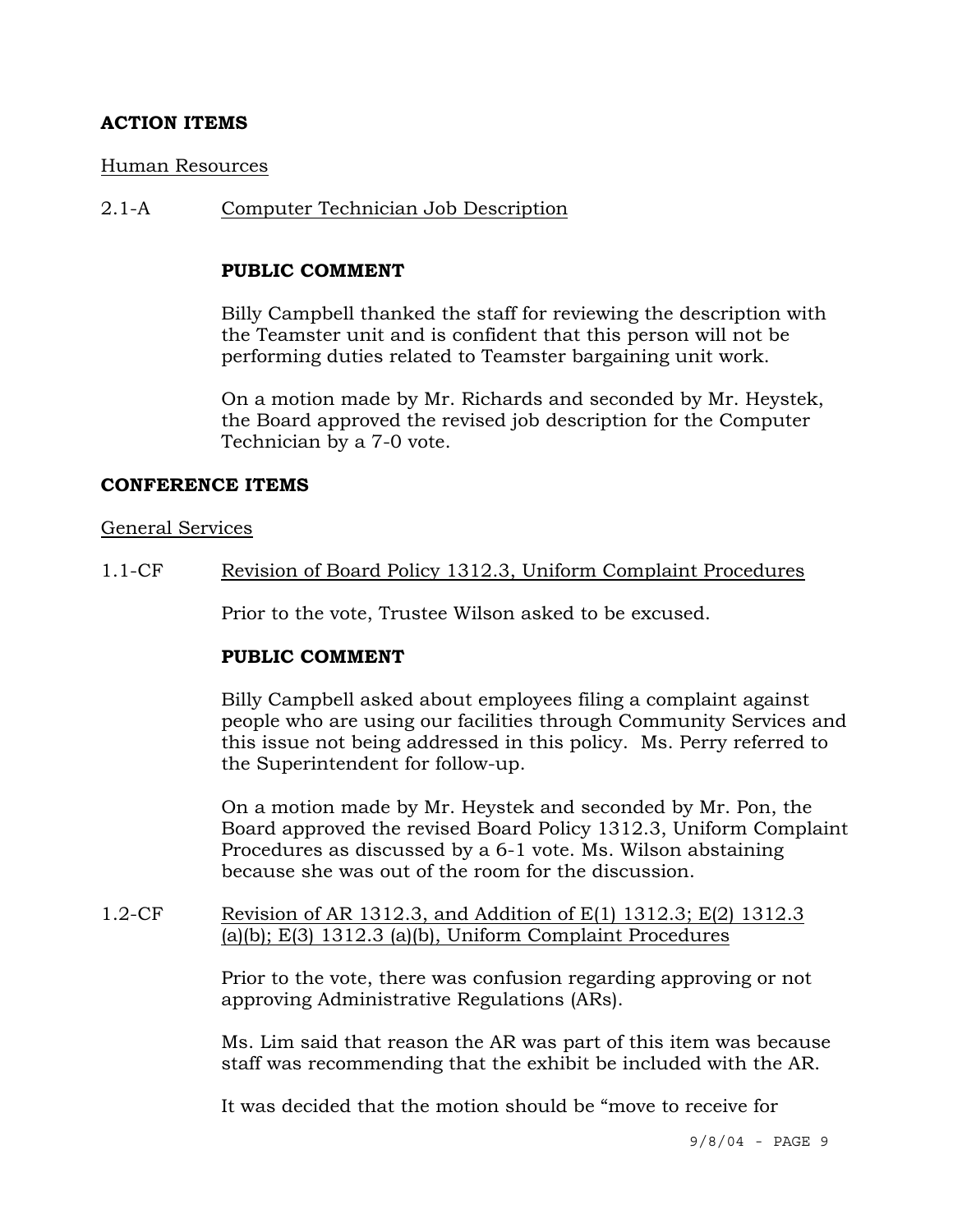## **ACTION ITEMS**

### Human Resources

2.1-A Computer Technician Job Description

## **PUBLIC COMMENT**

Billy Campbell thanked the staff for reviewing the description with the Teamster unit and is confident that this person will not be performing duties related to Teamster bargaining unit work.

On a motion made by Mr. Richards and seconded by Mr. Heystek, the Board approved the revised job description for the Computer Technician by a 7-0 vote.

### **CONFERENCE ITEMS**

### General Services

1.1-CF Revision of Board Policy 1312.3, Uniform Complaint Procedures

Prior to the vote, Trustee Wilson asked to be excused.

### **PUBLIC COMMENT**

Billy Campbell asked about employees filing a complaint against people who are using our facilities through Community Services and this issue not being addressed in this policy. Ms. Perry referred to the Superintendent for follow-up.

On a motion made by Mr. Heystek and seconded by Mr. Pon, the Board approved the revised Board Policy 1312.3, Uniform Complaint Procedures as discussed by a 6-1 vote. Ms. Wilson abstaining because she was out of the room for the discussion.

## 1.2-CF Revision of AR 1312.3, and Addition of E(1) 1312.3; E(2) 1312.3 (a)(b); E(3) 1312.3 (a)(b), Uniform Complaint Procedures

Prior to the vote, there was confusion regarding approving or not approving Administrative Regulations (ARs).

Ms. Lim said that reason the AR was part of this item was because staff was recommending that the exhibit be included with the AR.

It was decided that the motion should be "move to receive for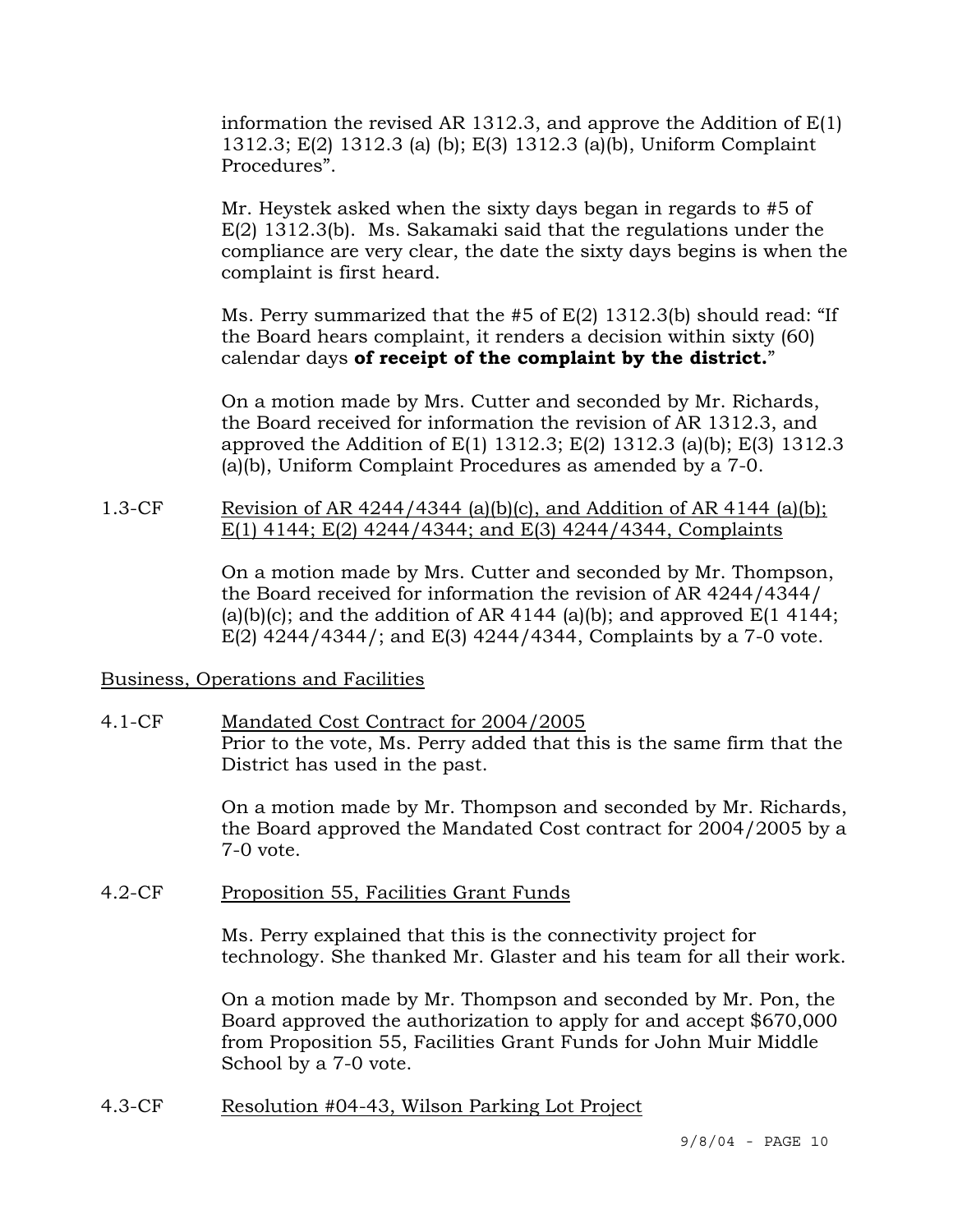information the revised AR 1312.3, and approve the Addition of E(1) 1312.3; E(2) 1312.3 (a) (b); E(3) 1312.3 (a)(b), Uniform Complaint Procedures".

Mr. Heystek asked when the sixty days began in regards to #5 of E(2) 1312.3(b). Ms. Sakamaki said that the regulations under the compliance are very clear, the date the sixty days begins is when the complaint is first heard.

Ms. Perry summarized that the #5 of E(2) 1312.3(b) should read: "If the Board hears complaint, it renders a decision within sixty (60) calendar days **of receipt of the complaint by the district.**"

On a motion made by Mrs. Cutter and seconded by Mr. Richards, the Board received for information the revision of AR 1312.3, and approved the Addition of E(1) 1312.3; E(2) 1312.3 (a)(b); E(3) 1312.3 (a)(b), Uniform Complaint Procedures as amended by a 7-0.

## 1.3-CF Revision of AR 4244/4344 (a)(b)(c), and Addition of AR 4144 (a)(b); E(1) 4144; E(2) 4244/4344; and E(3) 4244/4344, Complaints

On a motion made by Mrs. Cutter and seconded by Mr. Thompson, the Board received for information the revision of AR 4244/4344/ (a)(b)(c); and the addition of AR 4144 (a)(b); and approved  $E(1 4144;$ E(2) 4244/4344/; and E(3) 4244/4344, Complaints by a 7-0 vote.

## Business, Operations and Facilities

# 4.1-CF Mandated Cost Contract for 2004/2005 Prior to the vote, Ms. Perry added that this is the same firm that the District has used in the past.

On a motion made by Mr. Thompson and seconded by Mr. Richards, the Board approved the Mandated Cost contract for 2004/2005 by a 7-0 vote.

4.2-CF Proposition 55, Facilities Grant Funds

Ms. Perry explained that this is the connectivity project for technology. She thanked Mr. Glaster and his team for all their work.

On a motion made by Mr. Thompson and seconded by Mr. Pon, the Board approved the authorization to apply for and accept \$670,000 from Proposition 55, Facilities Grant Funds for John Muir Middle School by a 7-0 vote.

4.3-CF Resolution #04-43, Wilson Parking Lot Project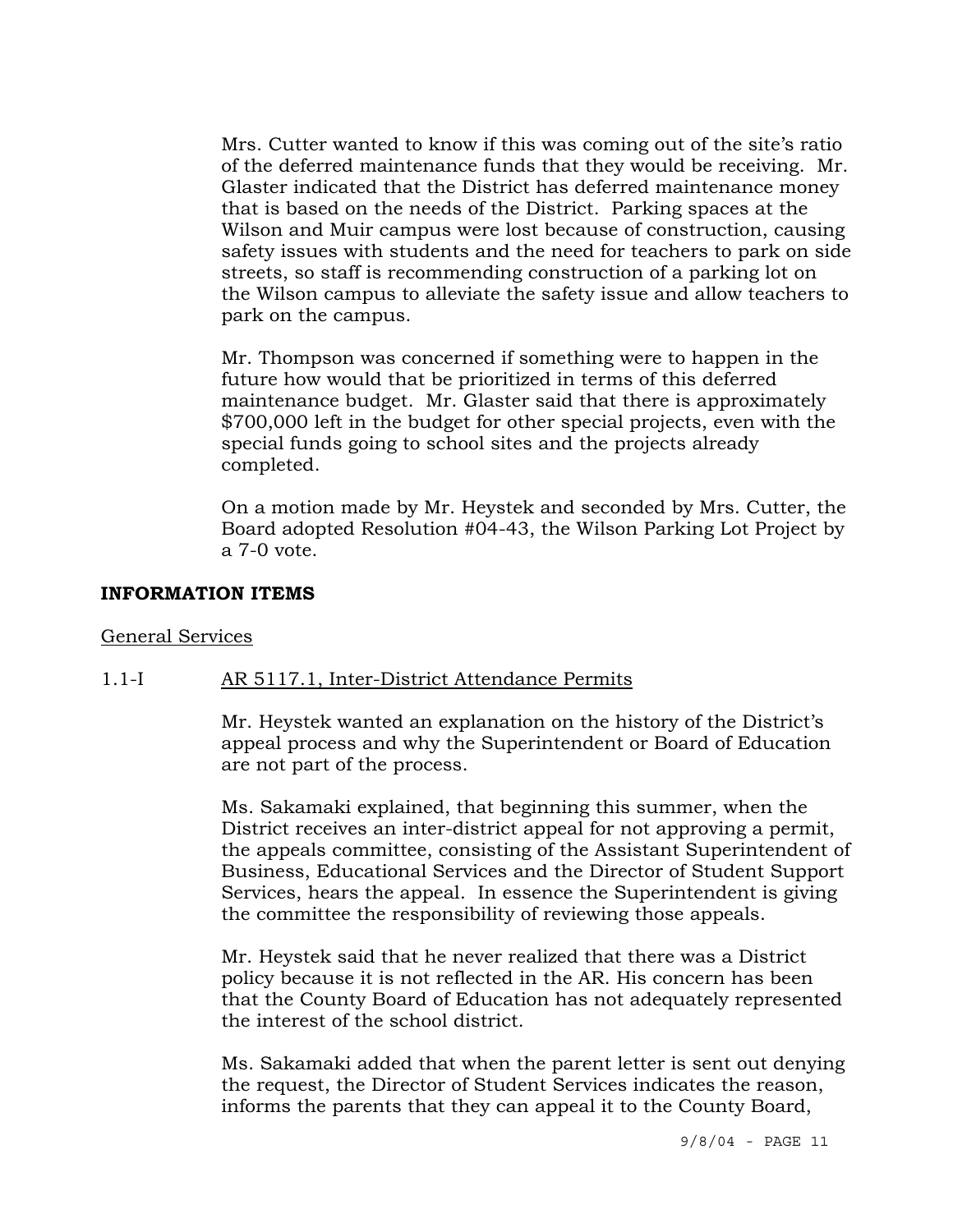Mrs. Cutter wanted to know if this was coming out of the site's ratio of the deferred maintenance funds that they would be receiving. Mr. Glaster indicated that the District has deferred maintenance money that is based on the needs of the District. Parking spaces at the Wilson and Muir campus were lost because of construction, causing safety issues with students and the need for teachers to park on side streets, so staff is recommending construction of a parking lot on the Wilson campus to alleviate the safety issue and allow teachers to park on the campus.

Mr. Thompson was concerned if something were to happen in the future how would that be prioritized in terms of this deferred maintenance budget. Mr. Glaster said that there is approximately \$700,000 left in the budget for other special projects, even with the special funds going to school sites and the projects already completed.

On a motion made by Mr. Heystek and seconded by Mrs. Cutter, the Board adopted Resolution #04-43, the Wilson Parking Lot Project by a 7-0 vote.

### **INFORMATION ITEMS**

### General Services

### 1.1-I AR 5117.1, Inter-District Attendance Permits

Mr. Heystek wanted an explanation on the history of the District's appeal process and why the Superintendent or Board of Education are not part of the process.

Ms. Sakamaki explained, that beginning this summer, when the District receives an inter-district appeal for not approving a permit, the appeals committee, consisting of the Assistant Superintendent of Business, Educational Services and the Director of Student Support Services, hears the appeal. In essence the Superintendent is giving the committee the responsibility of reviewing those appeals.

Mr. Heystek said that he never realized that there was a District policy because it is not reflected in the AR. His concern has been that the County Board of Education has not adequately represented the interest of the school district.

Ms. Sakamaki added that when the parent letter is sent out denying the request, the Director of Student Services indicates the reason, informs the parents that they can appeal it to the County Board,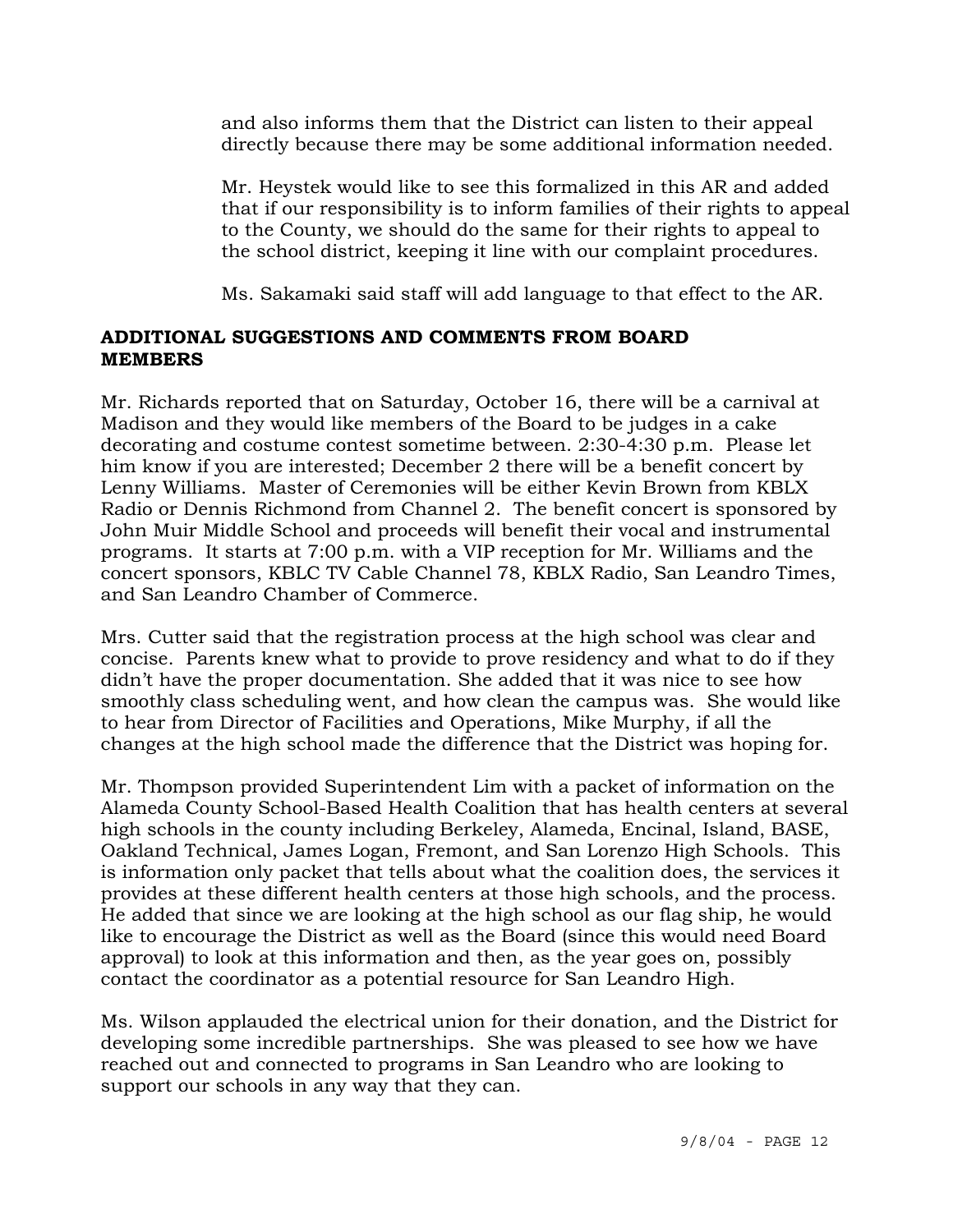and also informs them that the District can listen to their appeal directly because there may be some additional information needed.

Mr. Heystek would like to see this formalized in this AR and added that if our responsibility is to inform families of their rights to appeal to the County, we should do the same for their rights to appeal to the school district, keeping it line with our complaint procedures.

Ms. Sakamaki said staff will add language to that effect to the AR.

## **ADDITIONAL SUGGESTIONS AND COMMENTS FROM BOARD MEMBERS**

Mr. Richards reported that on Saturday, October 16, there will be a carnival at Madison and they would like members of the Board to be judges in a cake decorating and costume contest sometime between. 2:30-4:30 p.m. Please let him know if you are interested; December 2 there will be a benefit concert by Lenny Williams. Master of Ceremonies will be either Kevin Brown from KBLX Radio or Dennis Richmond from Channel 2. The benefit concert is sponsored by John Muir Middle School and proceeds will benefit their vocal and instrumental programs. It starts at 7:00 p.m. with a VIP reception for Mr. Williams and the concert sponsors, KBLC TV Cable Channel 78, KBLX Radio, San Leandro Times, and San Leandro Chamber of Commerce.

Mrs. Cutter said that the registration process at the high school was clear and concise. Parents knew what to provide to prove residency and what to do if they didn't have the proper documentation. She added that it was nice to see how smoothly class scheduling went, and how clean the campus was. She would like to hear from Director of Facilities and Operations, Mike Murphy, if all the changes at the high school made the difference that the District was hoping for.

Mr. Thompson provided Superintendent Lim with a packet of information on the Alameda County School-Based Health Coalition that has health centers at several high schools in the county including Berkeley, Alameda, Encinal, Island, BASE, Oakland Technical, James Logan, Fremont, and San Lorenzo High Schools. This is information only packet that tells about what the coalition does, the services it provides at these different health centers at those high schools, and the process. He added that since we are looking at the high school as our flag ship, he would like to encourage the District as well as the Board (since this would need Board approval) to look at this information and then, as the year goes on, possibly contact the coordinator as a potential resource for San Leandro High.

Ms. Wilson applauded the electrical union for their donation, and the District for developing some incredible partnerships. She was pleased to see how we have reached out and connected to programs in San Leandro who are looking to support our schools in any way that they can.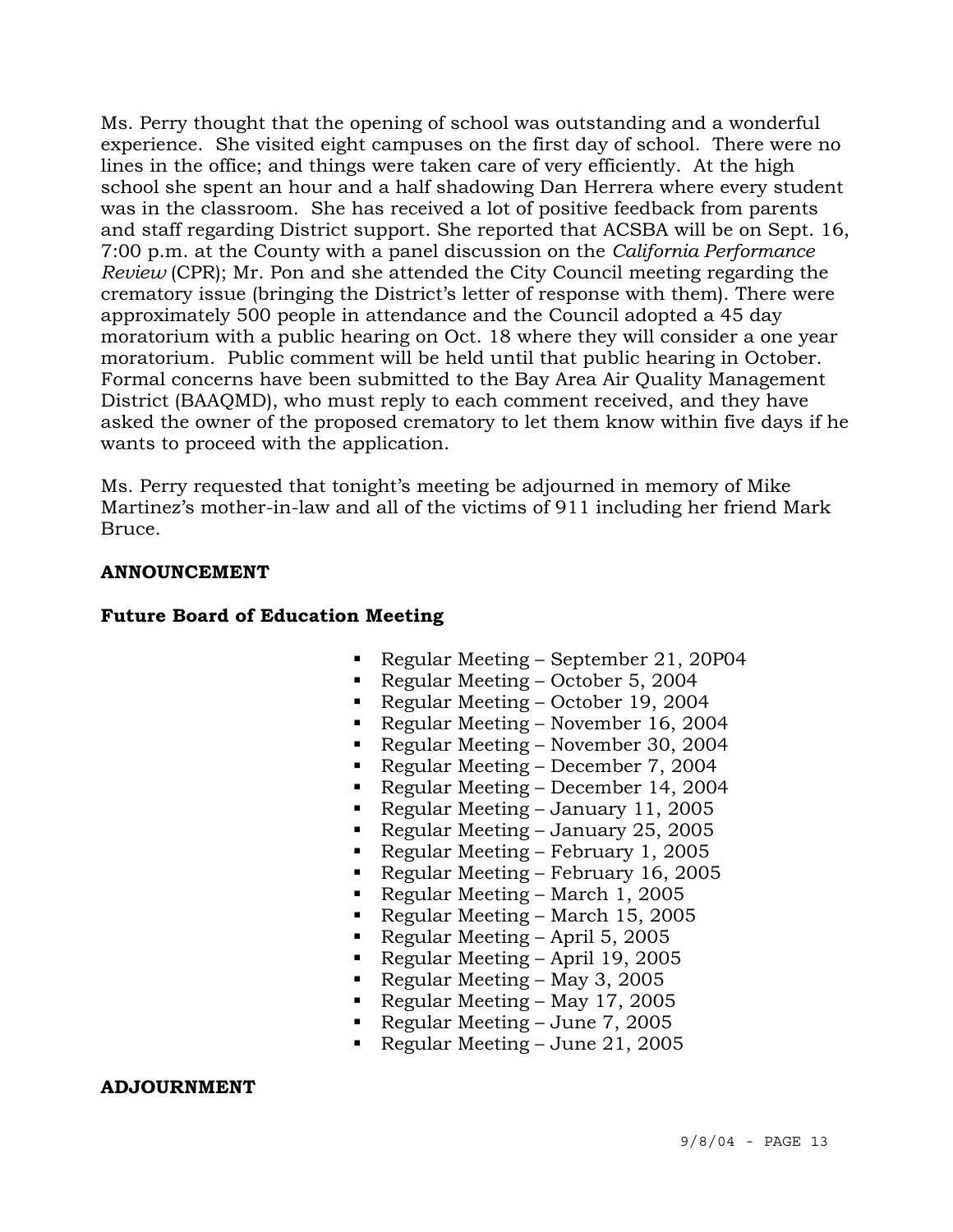Ms. Perry thought that the opening of school was outstanding and a wonderful experience. She visited eight campuses on the first day of school. There were no lines in the office; and things were taken care of very efficiently. At the high school she spent an hour and a half shadowing Dan Herrera where every student was in the classroom. She has received a lot of positive feedback from parents and staff regarding District support. She reported that ACSBA will be on Sept. 16, 7:00 p.m. at the County with a panel discussion on the *California Performance Review* (CPR); Mr. Pon and she attended the City Council meeting regarding the crematory issue (bringing the District's letter of response with them). There were approximately 500 people in attendance and the Council adopted a 45 day moratorium with a public hearing on Oct. 18 where they will consider a one year moratorium. Public comment will be held until that public hearing in October. Formal concerns have been submitted to the Bay Area Air Quality Management District (BAAQMD), who must reply to each comment received, and they have asked the owner of the proposed crematory to let them know within five days if he wants to proceed with the application.

Ms. Perry requested that tonight's meeting be adjourned in memory of Mike Martinez's mother-in-law and all of the victims of 911 including her friend Mark Bruce.

## **ANNOUNCEMENT**

## **Future Board of Education Meeting**

- Regular Meeting September 21, 20P04
- Regular Meeting October 5, 2004
- Regular Meeting October 19, 2004
- Regular Meeting November 16, 2004
- Regular Meeting November 30, 2004
- Regular Meeting December 7, 2004
- Regular Meeting December 14, 2004
- Regular Meeting January 11, 2005
- Regular Meeting January 25, 2005
- Regular Meeting February 1, 2005
- Regular Meeting February 16, 2005
- Regular Meeting March 1, 2005
- Regular Meeting March 15, 2005
- Regular Meeting April 5, 2005
- Regular Meeting April 19, 2005
- Regular Meeting May 3, 2005
- Regular Meeting May 17, 2005
- Regular Meeting June 7, 2005
- Regular Meeting June 21, 2005

### **ADJOURNMENT**